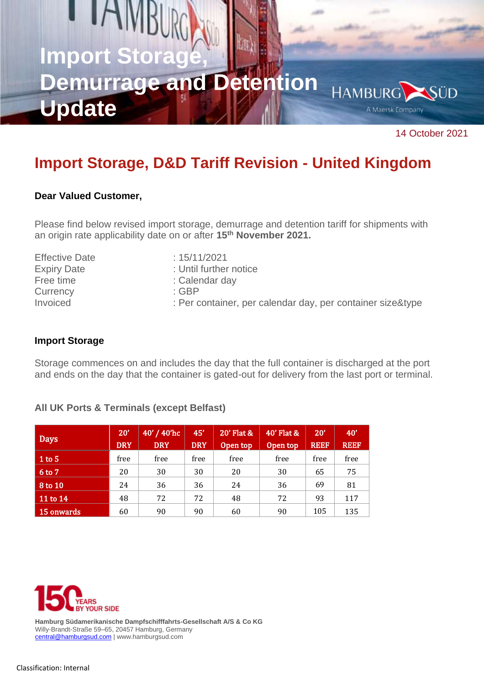# **IAM Import Sto Demurrage and Detention HAMBURG** ÜD **Update** A Maersk Company

14 October 2021

# **Import Storage, D&D Tariff Revision - United Kingdom**

### **Dear Valued Customer,**

Please find below revised import storage, demurrage and detention tariff for shipments with an origin rate applicability date on or after **15th November 2021.**

| <b>Effective Date</b> | : 15/11/2021                                               |
|-----------------------|------------------------------------------------------------|
| <b>Expiry Date</b>    | : Until further notice                                     |
| Free time             | : Calendar day                                             |
| Currency              | : GBP                                                      |
| Invoiced              | : Per container, per calendar day, per container size&type |

### **Import Storage**

Storage commences on and includes the day that the full container is discharged at the port and ends on the day that the container is gated-out for delivery from the last port or terminal.

| <b>Days</b>  | 20'<br><b>DRY</b> | 40' / 40'hc<br><b>DRY</b> | 45'<br><b>DRY</b> | 20' Flat &<br>Open top | 40' Flat &<br>Open top | 20'<br><b>REEF</b> | 40'<br><b>REEF</b> |
|--------------|-------------------|---------------------------|-------------------|------------------------|------------------------|--------------------|--------------------|
| $1$ to 5     | free              | free                      | free              | free                   | free                   | free               | free               |
| 6 to 7       | 20                | 30                        | 30                | 20                     | 30                     | 65                 | 75                 |
| 8 to 10      | 24                | 36                        | 36                | 24                     | 36                     | 69                 | 81                 |
| $11$ to $14$ | 48                | 72                        | 72                | 48                     | 72                     | 93                 | 117                |
| 15 onwards   | 60                | 90                        | 90                | 60                     | 90                     | 105                | 135                |

## **All UK Ports & Terminals (except Belfast)**



**Hamburg Südamerikanische Dampfschifffahrts-Gesellschaft A/S & Co KG**  Willy-Brandt-Straße 59–65, 20457 Hamburg, Germany [central@hamburgsud.com](mailto:central@hamburgsud.com) | www.hamburgsud.com